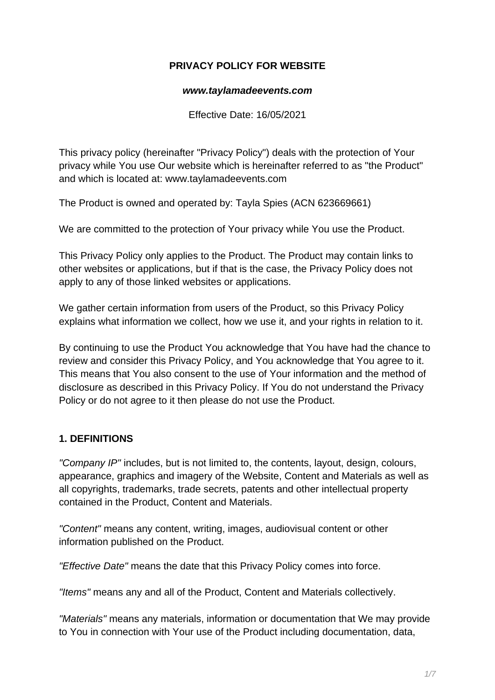### **PRIVACY POLICY FOR WEBSITE**

#### **www.taylamadeevents.com**

Effective Date: 16/05/2021

This privacy policy (hereinafter "Privacy Policy") deals with the protection of Your privacy while You use Our website which is hereinafter referred to as "the Product" and which is located at: www.taylamadeevents.com

The Product is owned and operated by: Tayla Spies (ACN 623669661)

We are committed to the protection of Your privacy while You use the Product.

This Privacy Policy only applies to the Product. The Product may contain links to other websites or applications, but if that is the case, the Privacy Policy does not apply to any of those linked websites or applications.

We gather certain information from users of the Product, so this Privacy Policy explains what information we collect, how we use it, and your rights in relation to it.

By continuing to use the Product You acknowledge that You have had the chance to review and consider this Privacy Policy, and You acknowledge that You agree to it. This means that You also consent to the use of Your information and the method of disclosure as described in this Privacy Policy. If You do not understand the Privacy Policy or do not agree to it then please do not use the Product.

# **1. DEFINITIONS**

"Company IP" includes, but is not limited to, the contents, layout, design, colours, appearance, graphics and imagery of the Website, Content and Materials as well as all copyrights, trademarks, trade secrets, patents and other intellectual property contained in the Product, Content and Materials.

"Content" means any content, writing, images, audiovisual content or other information published on the Product.

"Effective Date" means the date that this Privacy Policy comes into force.

"Items" means any and all of the Product, Content and Materials collectively.

"Materials" means any materials, information or documentation that We may provide to You in connection with Your use of the Product including documentation, data,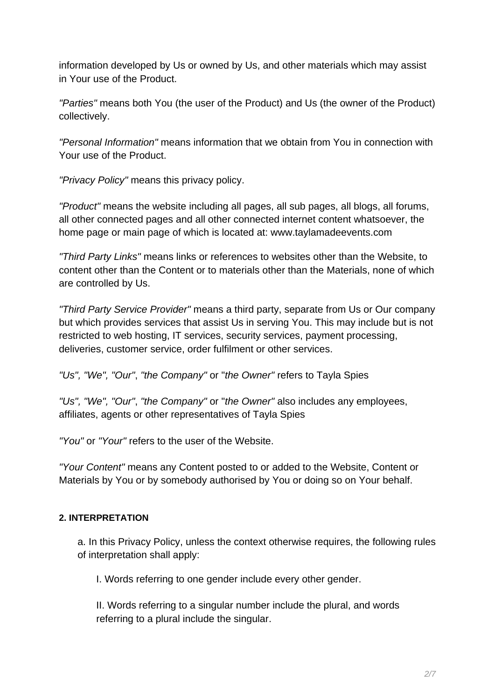information developed by Us or owned by Us, and other materials which may assist in Your use of the Product.

"Parties" means both You (the user of the Product) and Us (the owner of the Product) collectively.

"Personal Information" means information that we obtain from You in connection with Your use of the Product.

"Privacy Policy" means this privacy policy.

"Product" means the website including all pages, all sub pages, all blogs, all forums, all other connected pages and all other connected internet content whatsoever, the home page or main page of which is located at: www.taylamadeevents.com

"Third Party Links" means links or references to websites other than the Website, to content other than the Content or to materials other than the Materials, none of which are controlled by Us.

"Third Party Service Provider" means a third party, separate from Us or Our company but which provides services that assist Us in serving You. This may include but is not restricted to web hosting, IT services, security services, payment processing, deliveries, customer service, order fulfilment or other services.

"Us", "We", "Our", "the Company" or "the Owner" refers to Tayla Spies

"Us", "We", "Our", "the Company" or "the Owner" also includes any employees, affiliates, agents or other representatives of Tayla Spies

"You" or "Your" refers to the user of the Website.

"Your Content" means any Content posted to or added to the Website, Content or Materials by You or by somebody authorised by You or doing so on Your behalf.

#### **2. INTERPRETATION**

a. In this Privacy Policy, unless the context otherwise requires, the following rules of interpretation shall apply:

I. Words referring to one gender include every other gender.

II. Words referring to a singular number include the plural, and words referring to a plural include the singular.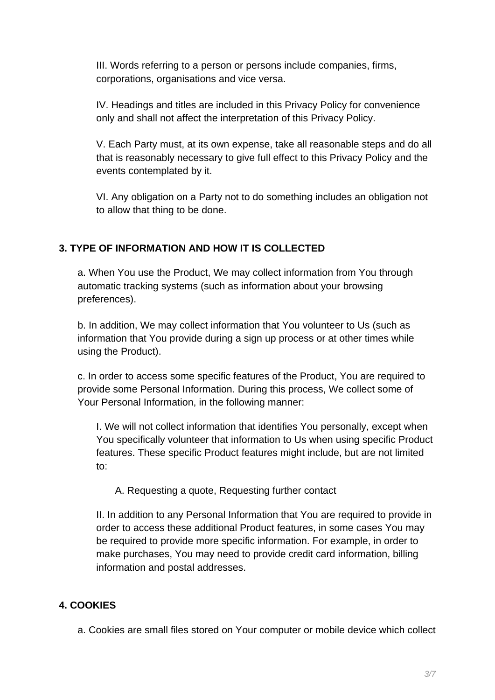III. Words referring to a person or persons include companies, firms, corporations, organisations and vice versa.

IV. Headings and titles are included in this Privacy Policy for convenience only and shall not affect the interpretation of this Privacy Policy.

V. Each Party must, at its own expense, take all reasonable steps and do all that is reasonably necessary to give full effect to this Privacy Policy and the events contemplated by it.

VI. Any obligation on a Party not to do something includes an obligation not to allow that thing to be done.

# **3. TYPE OF INFORMATION AND HOW IT IS COLLECTED**

a. When You use the Product, We may collect information from You through automatic tracking systems (such as information about your browsing preferences).

b. In addition, We may collect information that You volunteer to Us (such as information that You provide during a sign up process or at other times while using the Product).

c. In order to access some specific features of the Product, You are required to provide some Personal Information. During this process, We collect some of Your Personal Information, in the following manner:

I. We will not collect information that identifies You personally, except when You specifically volunteer that information to Us when using specific Product features. These specific Product features might include, but are not limited to:

A. Requesting a quote, Requesting further contact

II. In addition to any Personal Information that You are required to provide in order to access these additional Product features, in some cases You may be required to provide more specific information. For example, in order to make purchases, You may need to provide credit card information, billing information and postal addresses.

# **4. COOKIES**

a. Cookies are small files stored on Your computer or mobile device which collect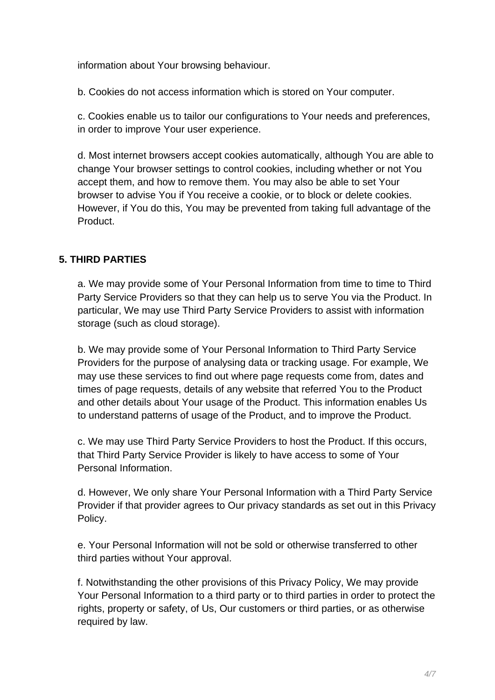information about Your browsing behaviour.

b. Cookies do not access information which is stored on Your computer.

c. Cookies enable us to tailor our configurations to Your needs and preferences, in order to improve Your user experience.

d. Most internet browsers accept cookies automatically, although You are able to change Your browser settings to control cookies, including whether or not You accept them, and how to remove them. You may also be able to set Your browser to advise You if You receive a cookie, or to block or delete cookies. However, if You do this, You may be prevented from taking full advantage of the Product.

### **5. THIRD PARTIES**

a. We may provide some of Your Personal Information from time to time to Third Party Service Providers so that they can help us to serve You via the Product. In particular, We may use Third Party Service Providers to assist with information storage (such as cloud storage).

b. We may provide some of Your Personal Information to Third Party Service Providers for the purpose of analysing data or tracking usage. For example, We may use these services to find out where page requests come from, dates and times of page requests, details of any website that referred You to the Product and other details about Your usage of the Product. This information enables Us to understand patterns of usage of the Product, and to improve the Product.

c. We may use Third Party Service Providers to host the Product. If this occurs, that Third Party Service Provider is likely to have access to some of Your Personal Information.

d. However, We only share Your Personal Information with a Third Party Service Provider if that provider agrees to Our privacy standards as set out in this Privacy Policy.

e. Your Personal Information will not be sold or otherwise transferred to other third parties without Your approval.

f. Notwithstanding the other provisions of this Privacy Policy, We may provide Your Personal Information to a third party or to third parties in order to protect the rights, property or safety, of Us, Our customers or third parties, or as otherwise required by law.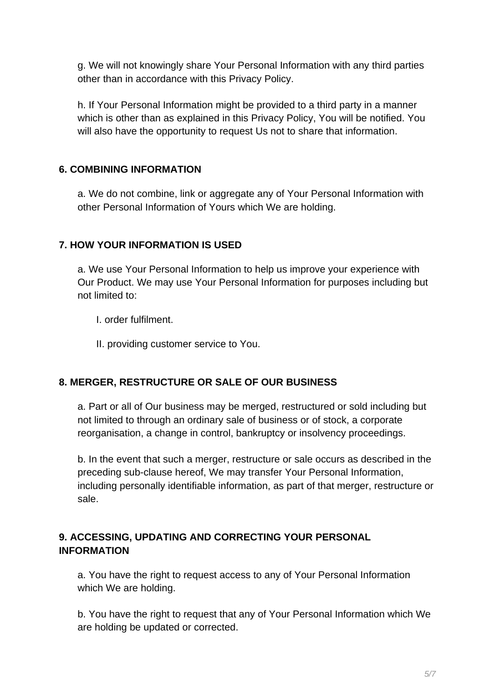g. We will not knowingly share Your Personal Information with any third parties other than in accordance with this Privacy Policy.

h. If Your Personal Information might be provided to a third party in a manner which is other than as explained in this Privacy Policy, You will be notified. You will also have the opportunity to request Us not to share that information.

# **6. COMBINING INFORMATION**

a. We do not combine, link or aggregate any of Your Personal Information with other Personal Information of Yours which We are holding.

### **7. HOW YOUR INFORMATION IS USED**

a. We use Your Personal Information to help us improve your experience with Our Product. We may use Your Personal Information for purposes including but not limited to:

I. order fulfilment.

II. providing customer service to You.

#### **8. MERGER, RESTRUCTURE OR SALE OF OUR BUSINESS**

a. Part or all of Our business may be merged, restructured or sold including but not limited to through an ordinary sale of business or of stock, a corporate reorganisation, a change in control, bankruptcy or insolvency proceedings.

b. In the event that such a merger, restructure or sale occurs as described in the preceding sub-clause hereof, We may transfer Your Personal Information, including personally identifiable information, as part of that merger, restructure or sale.

# **9. ACCESSING, UPDATING AND CORRECTING YOUR PERSONAL INFORMATION**

a. You have the right to request access to any of Your Personal Information which We are holding.

b. You have the right to request that any of Your Personal Information which We are holding be updated or corrected.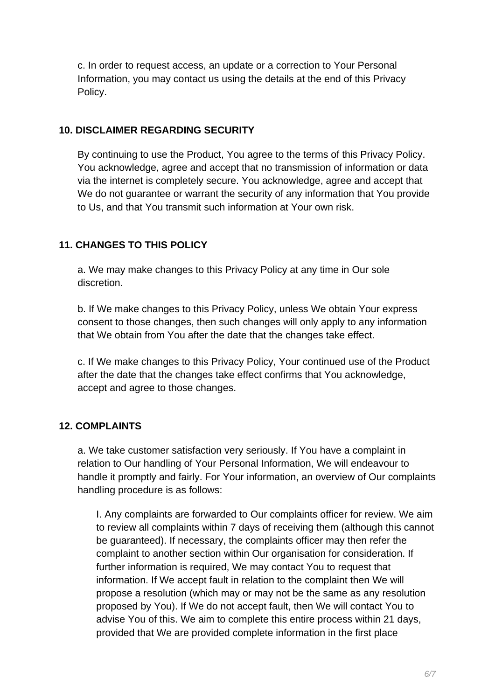c. In order to request access, an update or a correction to Your Personal Information, you may contact us using the details at the end of this Privacy Policy.

#### **10. DISCLAIMER REGARDING SECURITY**

By continuing to use the Product, You agree to the terms of this Privacy Policy. You acknowledge, agree and accept that no transmission of information or data via the internet is completely secure. You acknowledge, agree and accept that We do not guarantee or warrant the security of any information that You provide to Us, and that You transmit such information at Your own risk.

### **11. CHANGES TO THIS POLICY**

a. We may make changes to this Privacy Policy at any time in Our sole discretion.

b. If We make changes to this Privacy Policy, unless We obtain Your express consent to those changes, then such changes will only apply to any information that We obtain from You after the date that the changes take effect.

c. If We make changes to this Privacy Policy, Your continued use of the Product after the date that the changes take effect confirms that You acknowledge, accept and agree to those changes.

#### **12. COMPLAINTS**

a. We take customer satisfaction very seriously. If You have a complaint in relation to Our handling of Your Personal Information, We will endeavour to handle it promptly and fairly. For Your information, an overview of Our complaints handling procedure is as follows:

I. Any complaints are forwarded to Our complaints officer for review. We aim to review all complaints within 7 days of receiving them (although this cannot be guaranteed). If necessary, the complaints officer may then refer the complaint to another section within Our organisation for consideration. If further information is required, We may contact You to request that information. If We accept fault in relation to the complaint then We will propose a resolution (which may or may not be the same as any resolution proposed by You). If We do not accept fault, then We will contact You to advise You of this. We aim to complete this entire process within 21 days, provided that We are provided complete information in the first place